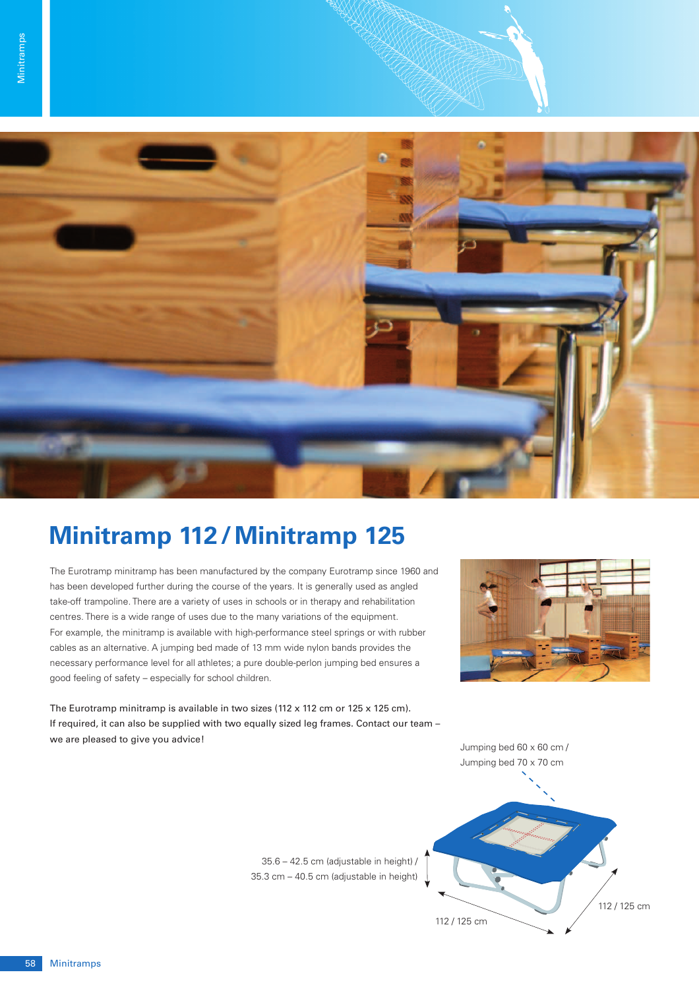

## **Minitramp 112 / Minitramp 125**

The Eurotramp minitramp has been manufactured by the company Eurotramp since 1960 and has been developed further during the course of the years. It is generally used as angled take-off trampoline. There are a variety of uses in schools or in therapy and rehabilitation centres. There is a wide range of uses due to the many variations of the equipment. For example, the minitramp is available with high-performance steel springs or with rubber cables as an alternative. A jumping bed made of 13 mm wide nylon bands provides the necessary performance level for all athletes; a pure double-perlon jumping bed ensures a good feeling of safety – especially for school children.

The Eurotramp minitramp is available in two sizes (112 x 112 cm or 125 x 125 cm). If required, it can also be supplied with two equally sized leg frames. Contact our team – we are pleased to give you advice!





35.6 – 42.5 cm (adjustable in height) / 35.3 cm – 40.5 cm (adjustable in height)